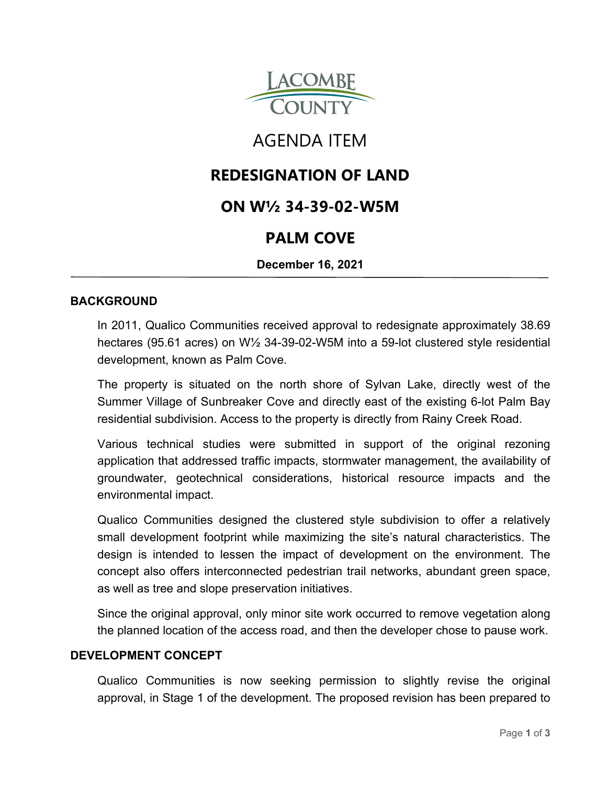

# AGENDA ITEM

# **REDESIGNATION OF LAND**

# **ON W½ 34-39-02-W5M**

# **PALM COVE**

**December 16, 2021**

### **BACKGROUND**

In 2011, Qualico Communities received approval to redesignate approximately 38.69 hectares (95.61 acres) on W½ 34-39-02-W5M into a 59-lot clustered style residential development, known as Palm Cove.

The property is situated on the north shore of Sylvan Lake, directly west of the Summer Village of Sunbreaker Cove and directly east of the existing 6-lot Palm Bay residential subdivision. Access to the property is directly from Rainy Creek Road.

Various technical studies were submitted in support of the original rezoning application that addressed traffic impacts, stormwater management, the availability of groundwater, geotechnical considerations, historical resource impacts and the environmental impact.

Qualico Communities designed the clustered style subdivision to offer a relatively small development footprint while maximizing the site's natural characteristics. The design is intended to lessen the impact of development on the environment. The concept also offers interconnected pedestrian trail networks, abundant green space, as well as tree and slope preservation initiatives.

Since the original approval, only minor site work occurred to remove vegetation along the planned location of the access road, and then the developer chose to pause work.

### **DEVELOPMENT CONCEPT**

Qualico Communities is now seeking permission to slightly revise the original approval, in Stage 1 of the development. The proposed revision has been prepared to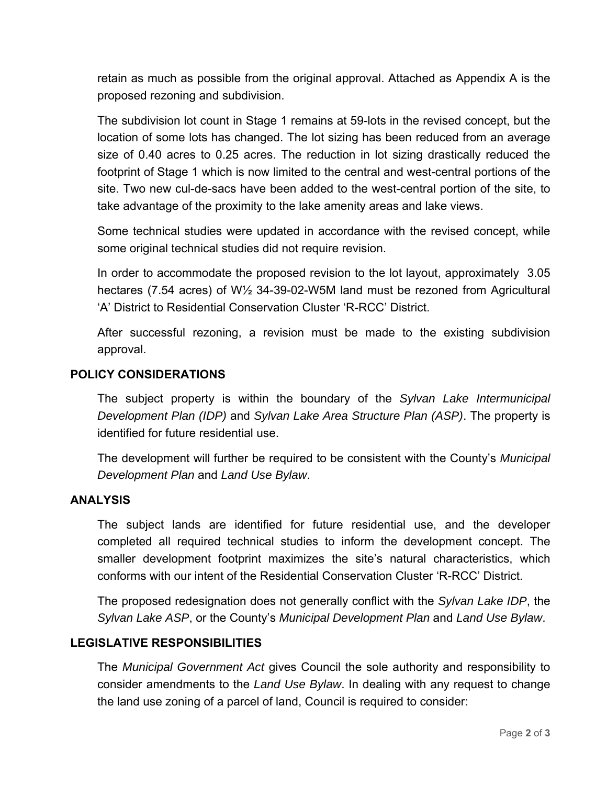retain as much as possible from the original approval. Attached as Appendix A is the proposed rezoning and subdivision.

The subdivision lot count in Stage 1 remains at 59-lots in the revised concept, but the location of some lots has changed. The lot sizing has been reduced from an average size of 0.40 acres to 0.25 acres. The reduction in lot sizing drastically reduced the footprint of Stage 1 which is now limited to the central and west-central portions of the site. Two new cul-de-sacs have been added to the west-central portion of the site, to take advantage of the proximity to the lake amenity areas and lake views.

Some technical studies were updated in accordance with the revised concept, while some original technical studies did not require revision.

In order to accommodate the proposed revision to the lot layout, approximately 3.05 hectares (7.54 acres) of W½ 34-39-02-W5M land must be rezoned from Agricultural 'A' District to Residential Conservation Cluster 'R-RCC' District.

After successful rezoning, a revision must be made to the existing subdivision approval.

#### **POLICY CONSIDERATIONS**

The subject property is within the boundary of the *Sylvan Lake Intermunicipal Development Plan (IDP)* and *Sylvan Lake Area Structure Plan (ASP)*. The property is identified for future residential use.

The development will further be required to be consistent with the County's *Municipal Development Plan* and *Land Use Bylaw*.

#### **ANALYSIS**

The subject lands are identified for future residential use, and the developer completed all required technical studies to inform the development concept. The smaller development footprint maximizes the site's natural characteristics, which conforms with our intent of the Residential Conservation Cluster 'R-RCC' District.

The proposed redesignation does not generally conflict with the *Sylvan Lake IDP*, the *Sylvan Lake ASP*, or the County's *Municipal Development Plan* and *Land Use Bylaw*.

#### **LEGISLATIVE RESPONSIBILITIES**

The *Municipal Government Act* gives Council the sole authority and responsibility to consider amendments to the *Land Use Bylaw*. In dealing with any request to change the land use zoning of a parcel of land, Council is required to consider: